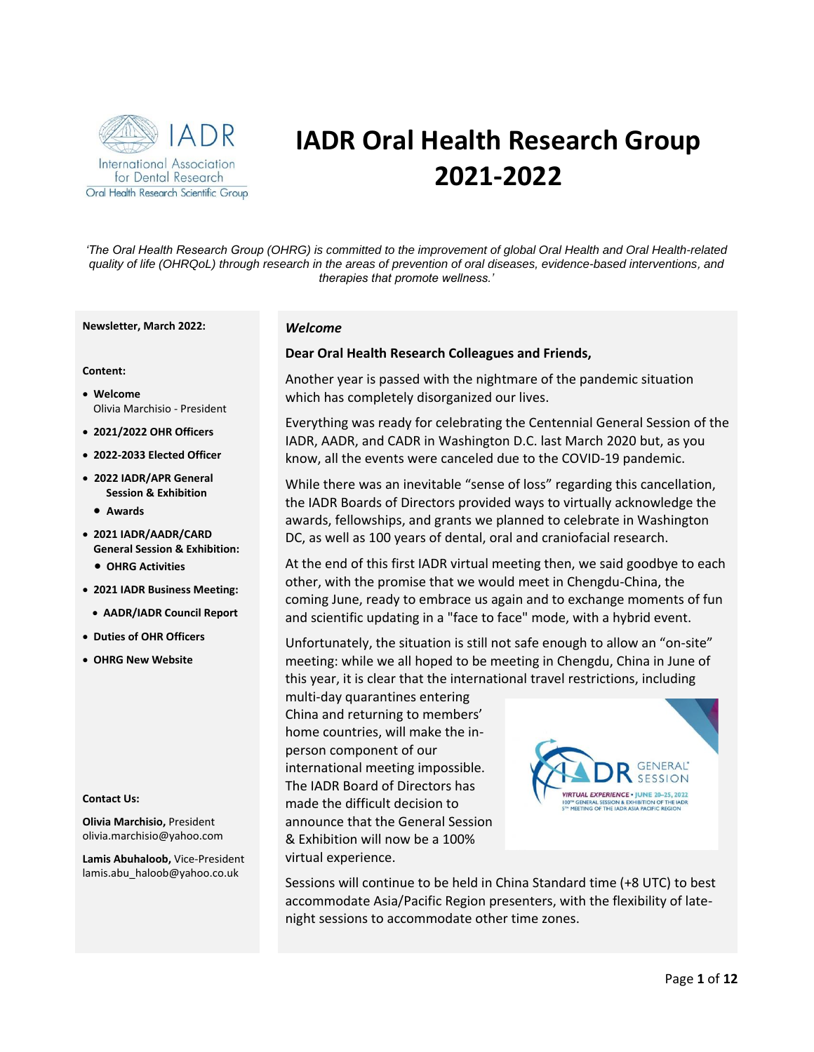

# **IADR Oral Health Research Group 2021-2022**

*'The Oral Health Research Group (OHRG) is committed to the improvement of global Oral Health and Oral Health-related quality of life (OHRQoL) through research in the areas of prevention of oral diseases, evidence-based interventions*, *and therapies that promote wellness.'*

#### **Newsletter, March 2022:**

#### **Content:**

- **Welcome** Olivia Marchisio - President
- **2021/2022 OHR Officers**
- **2022-2033 Elected Officer**
- **2022 IADR/APR General Session & Exhibition**
	- **Awards**
- **2021 IADR/AADR/CARD General Session & Exhibition:** • **OHRG Activities**
- **2021 IADR Business Meeting:**
- **AADR/IADR Council Report**
- **Duties of OHR Officers**
- **OHRG New Website**

#### **Contact Us:**

**Olivia Marchisio,** President [olivia.marchisio@yahoo.com](mailto:olivia.marchisio@yahoo.com)

**Lamis Abuhaloob,** Vice-President lamis.abu\_haloob@yahoo.co.uk

#### *Welcome*

#### **Dear Oral Health Research Colleagues and Friends,**

Another year is passed with the nightmare of the pandemic situation which has completely disorganized our lives.

Everything was ready for celebrating the Centennial General Session of the IADR, AADR, and CADR in Washington D.C. last March 2020 but, as you know, all the events were canceled due to the COVID-19 pandemic.

While there was an inevitable "sense of loss" regarding this cancellation, the IADR Boards of Directors provided ways to virtually acknowledge the awards, fellowships, and grants we planned to celebrate in Washington DC, as well as 100 years of dental, oral and craniofacial research.

At the end of this first IADR virtual meeting then, we said goodbye to each other, with the promise that we would meet in Chengdu-China, the coming June, ready to embrace us again and to exchange moments of fun and scientific updating in a "face to face" mode, with a hybrid event.

Unfortunately, the situation is still not safe enough to allow an "on-site" meeting: while we all hoped to be meeting in Chengdu, China in June of this year, it is clear that the international travel restrictions, including

multi-day quarantines entering China and returning to members' home countries, will make the inperson component of our international meeting impossible. The IADR Board of Directors has made the difficult decision to announce that the General Session & Exhibition will now be a 100% virtual experience.



Sessions will continue to be held in China Standard time (+8 UTC) to best accommodate Asia/Pacific Region presenters, with the flexibility of latenight sessions to accommodate other time zones.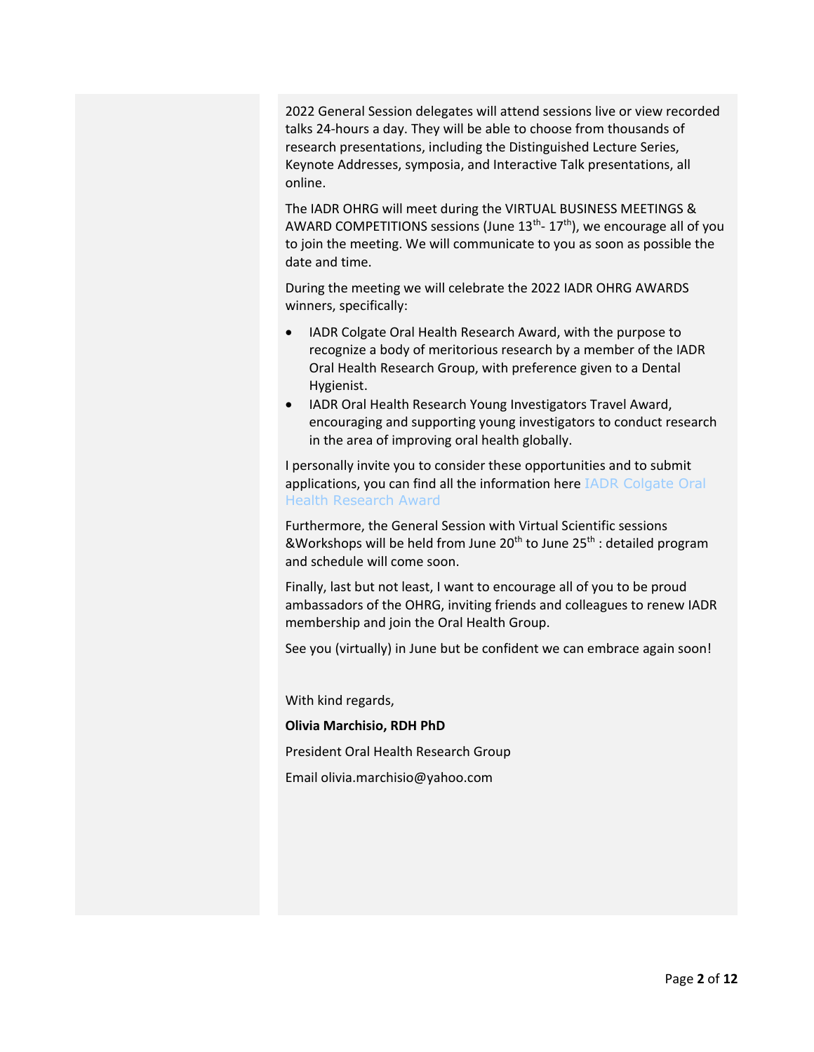2022 General Session delegates will attend sessions live or view recorded talks 24-hours a day. They will be able to choose from thousands of research presentations, including the Distinguished Lecture Series, Keynote Addresses, symposia, and Interactive Talk presentations, all online.

The IADR OHRG will meet during the VIRTUAL BUSINESS MEETINGS & AWARD COMPETITIONS sessions (June 13<sup>th</sup>- 17<sup>th</sup>), we encourage all of you to join the meeting. We will communicate to you as soon as possible the date and time.

During the meeting we will celebrate the 2022 IADR OHRG AWARDS winners, specifically:

- IADR Colgate Oral Health Research Award, with the purpose to recognize a body of meritorious research by a member of the IADR Oral Health Research Group, with preference given to a Dental Hygienist.
- IADR Oral Health Research Young Investigators Travel Award, encouraging and supporting young investigators to conduct research in the area of improving oral health globally.

I personally invite you to consider these opportunities and to submit applications, you can find all the information here [IADR Colgate Oral](https://www.iadr.org/awards/iadr-colgate-oral-health-research-award)  [Health Research Award](https://www.iadr.org/awards/iadr-colgate-oral-health-research-award)

Furthermore, the General Session with Virtual Scientific sessions &Workshops will be held from June 20<sup>th</sup> to June 25<sup>th</sup> : detailed program and schedule will come soon.

Finally, last but not least, I want to encourage all of you to be proud ambassadors of the OHRG, inviting friends and colleagues to renew IADR membership and join the Oral Health Group.

See you (virtually) in June but be confident we can embrace again soon!

With kind regards,

#### **Olivia Marchisio, RDH PhD**

President Oral Health Research Group

Email [olivia.marchisio@yahoo.com](mailto:olivia.marchisio@yahoo.com)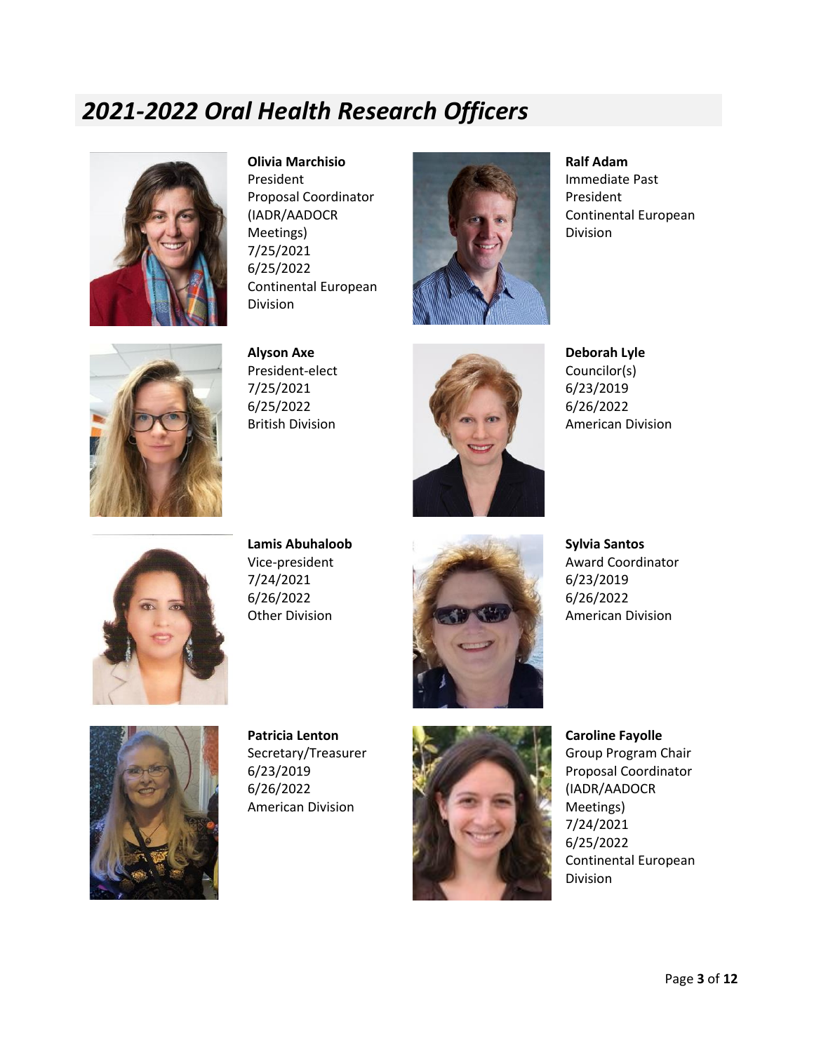### *2021-2022 Oral Health Research Officers*



**Olivia Marchisio** President Proposal Coordinator (IADR/AADOCR Meetings) 7/25/2021 6/25/2022 Continental European Division



**Ralf Adam**  Immediate Past President Continental European Division



**Alyson Axe** President-elect 7/25/2021 6/25/2022 British Division



**Deborah Lyle** Councilor(s) 6/23/2019 6/26/2022 American Division



**Lamis Abuhaloob** Vice-president 7/24/2021 6/26/2022 Other Division



**Sylvia Santos** Award Coordinator 6/23/2019 6/26/2022 American Division



**Patricia Lenton** Secretary/Treasurer 6/23/2019 6/26/2022 American Division



**Caroline Fayolle** Group Program Chair Proposal Coordinator (IADR/AADOCR Meetings) 7/24/2021 6/25/2022 Continental European Division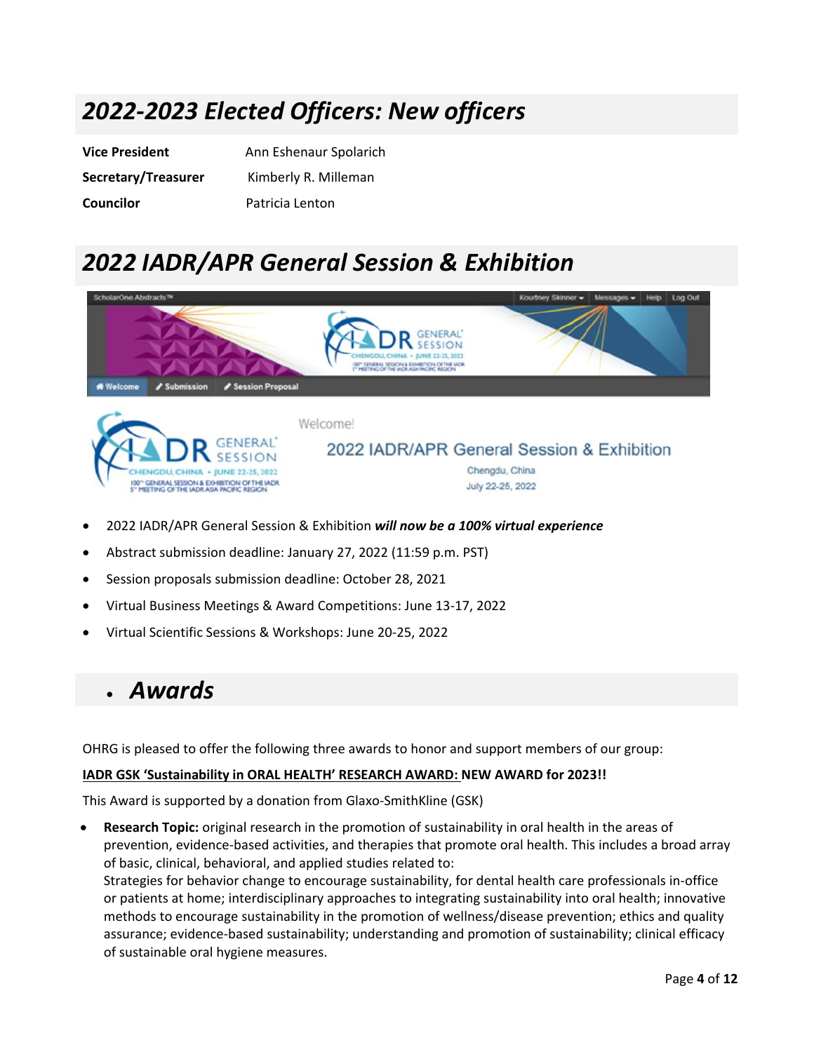## *2022-2023 Elected Officers: New officers*

| <b>Vice President</b> | Ann Eshenaur Spolarich |
|-----------------------|------------------------|
| Secretary/Treasurer   | Kimberly R. Milleman   |
| <b>Councilor</b>      | Patricia Lenton        |

## *2022 IADR/APR General Session & Exhibition*



- 2022 IADR/APR General Session & Exhibition *will now be a 100% virtual experience*
- Abstract submission deadline: January 27, 2022 (11:59 p.m. PST)
- Session proposals submission deadline: October 28, 2021
- Virtual Business Meetings & Award Competitions: June 13-17, 2022
- Virtual Scientific Sessions & Workshops: June 20-25, 2022

### • *Awards*

OHRG is pleased to offer the following three awards to honor and support members of our group:

#### **IADR GSK 'Sustainability in ORAL HEALTH' RESEARCH AWARD: NEW AWARD for 2023!!**

This Award is supported by a donation from Glaxo-SmithKline (GSK)

• **Research Topic:** original research in the promotion of sustainability in oral health in the areas of prevention, evidence-based activities, and therapies that promote oral health. This includes a broad array of basic, clinical, behavioral, and applied studies related to: Strategies for behavior change to encourage sustainability, for dental health care professionals in-office

or patients at home; interdisciplinary approaches to integrating sustainability into oral health; innovative methods to encourage sustainability in the promotion of wellness/disease prevention; ethics and quality assurance; evidence-based sustainability; understanding and promotion of sustainability; clinical efficacy of sustainable oral hygiene measures.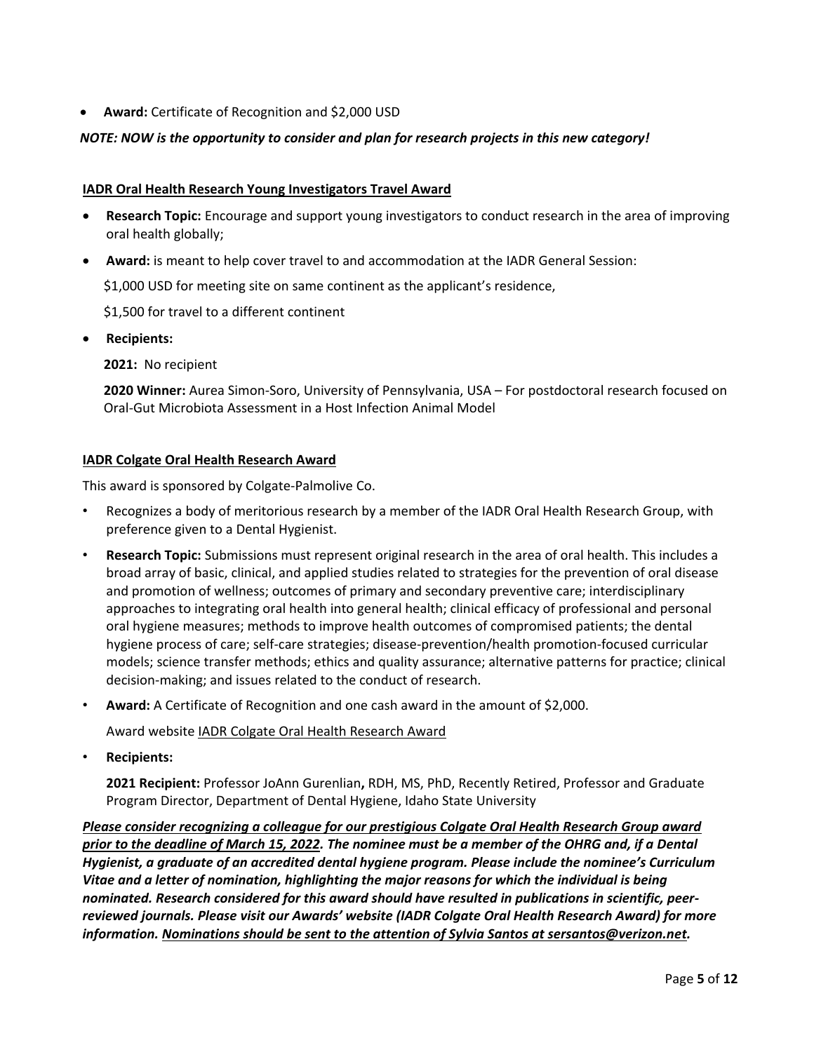• **Award:** Certificate of Recognition and \$2,000 USD

### *NOTE: NOW is the opportunity to consider and plan for research projects in this new category!*

#### **IADR Oral Health Research Young Investigators Travel Award**

- **Research Topic:** Encourage and support young investigators to conduct research in the area of improving oral health globally;
- **Award:** is meant to help cover travel to and accommodation at the IADR General Session:

\$1,000 USD for meeting site on same continent as the applicant's residence,

\$1,500 for travel to a different continent

• **Recipients:**

**2021:** No recipient

**2020 Winner:** Aurea Simon-Soro, University of Pennsylvania, USA – For postdoctoral research focused on Oral-Gut Microbiota Assessment in a Host Infection Animal Model

#### **IADR Colgate Oral Health Research Award**

This award is sponsored by Colgate-Palmolive Co.

- Recognizes a body of meritorious research by a member of the IADR Oral Health Research Group, with preference given to a Dental Hygienist.
- **Research Topic:** Submissions must represent original research in the area of oral health. This includes a broad array of basic, clinical, and applied studies related to strategies for the prevention of oral disease and promotion of wellness; outcomes of primary and secondary preventive care; interdisciplinary approaches to integrating oral health into general health; clinical efficacy of professional and personal oral hygiene measures; methods to improve health outcomes of compromised patients; the dental hygiene process of care; self-care strategies; disease-prevention/health promotion-focused curricular models; science transfer methods; ethics and quality assurance; alternative patterns for practice; clinical decision-making; and issues related to the conduct of research.
- **Award:** A Certificate of Recognition and one cash award in the amount of \$2,000.

Award website [IADR Colgate Oral Health Research Award](https://www.iadr.org/awards/iadr-colgate-oral-health-research-award)

• **Recipients:** 

**2021 Recipient:** Professor JoAnn Gurenlian**,** RDH, MS, PhD, Recently Retired, Professor and Graduate Program Director, Department of Dental Hygiene, Idaho State University

*Please consider recognizing a colleague for our prestigious Colgate Oral Health Research Group award prior to the deadline of March 15, 2022. The nominee must be a member of the OHRG and, if a Dental Hygienist, a graduate of an accredited dental hygiene program. Please include the nominee's Curriculum Vitae and a letter of nomination, highlighting the major reasons for which the individual is being nominated. Research considered for this award should have resulted in publications in scientific, peerreviewed journals. Please visit our Awards' website (IADR Colgate Oral Health Research Award) for more information. Nominations should be sent to the attention of Sylvia Santos at sersantos@verizon.net.*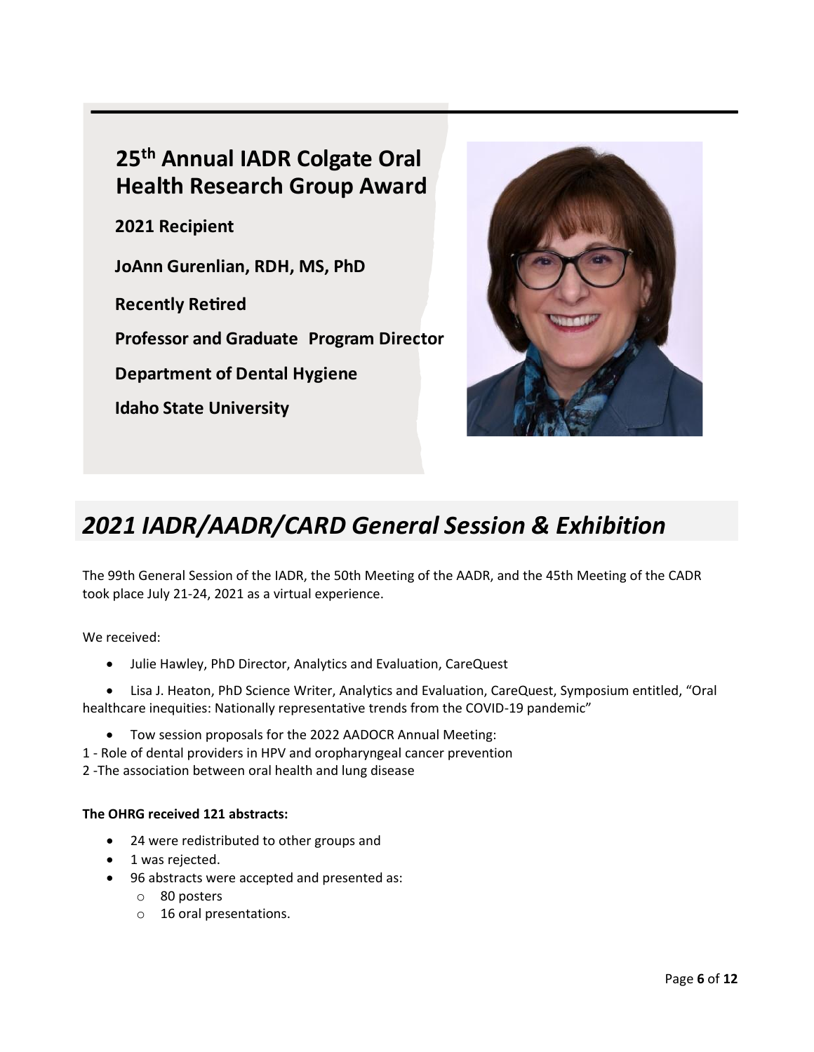### **25th Annual IADR Colgate Oral Health Research Group Award**

**2021 Recipient** 

**JoAnn Gurenlian, RDH, MS, PhD** 

**Recently Retired** 

**Professor and Graduate Program Director** 

**Department of Dental Hygiene** 

**Idaho State University** 



# *2021 IADR/AADR/CARD General Session & Exhibition*

The 99th General Session of the IADR, the 50th Meeting of the AADR, and the 45th Meeting of the CADR took place July 21-24, 2021 as a virtual experience.

We received:

• Julie Hawley, PhD Director, Analytics and Evaluation, CareQuest

• Lisa J. Heaton, PhD Science Writer, Analytics and Evaluation, CareQuest, Symposium entitled, "Oral healthcare inequities: Nationally representative trends from the COVID-19 pandemic"

- Tow session proposals for the 2022 AADOCR Annual Meeting:
- 1 Role of dental providers in HPV and oropharyngeal cancer prevention

2 -The association between oral health and lung disease

#### **The OHRG received 121 abstracts:**

- 24 were redistributed to other groups and
- 1 was rejected.
- 96 abstracts were accepted and presented as:
	- o 80 posters
	- o 16 oral presentations.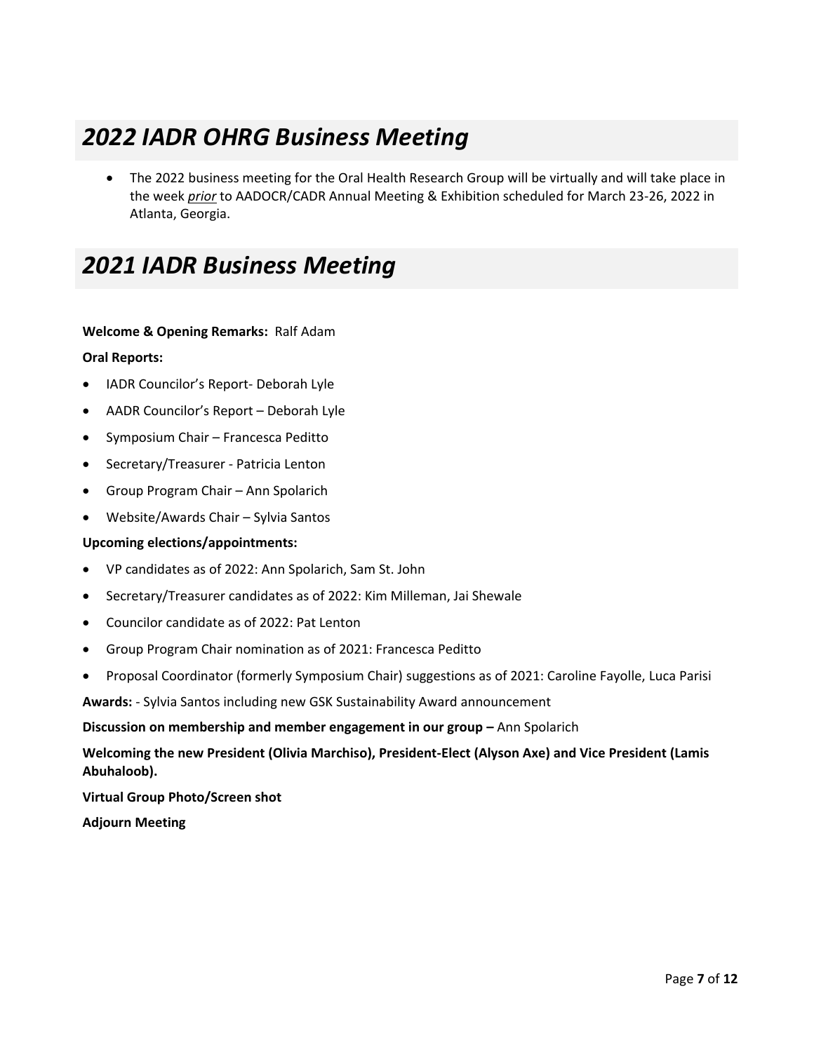## *2022 IADR OHRG Business Meeting*

• The 2022 business meeting for the Oral Health Research Group will be virtually and will take place in the week *prior* to AADOCR/CADR Annual Meeting & Exhibition scheduled for March 23-26, 2022 in Atlanta, Georgia.

### *2021 IADR Business Meeting*

#### **Welcome & Opening Remarks:** Ralf Adam

#### **Oral Reports:**

- IADR Councilor's Report- Deborah Lyle
- AADR Councilor's Report Deborah Lyle
- Symposium Chair Francesca Peditto
- Secretary/Treasurer Patricia Lenton
- Group Program Chair Ann Spolarich
- Website/Awards Chair Sylvia Santos

#### **Upcoming elections/appointments:**

- VP candidates as of 2022: Ann Spolarich, Sam St. John
- Secretary/Treasurer candidates as of 2022: Kim Milleman, Jai Shewale
- Councilor candidate as of 2022: Pat Lenton
- Group Program Chair nomination as of 2021: Francesca Peditto
- Proposal Coordinator (formerly Symposium Chair) suggestions as of 2021: Caroline Fayolle, Luca Parisi

**Awards:** - Sylvia Santos including new GSK Sustainability Award announcement

#### **Discussion on membership and member engagement in our group - Ann Spolarich**

### **Welcoming the new President (Olivia Marchiso), President-Elect (Alyson Axe) and Vice President (Lamis Abuhaloob).**

**Virtual Group Photo/Screen shot**

**Adjourn Meeting**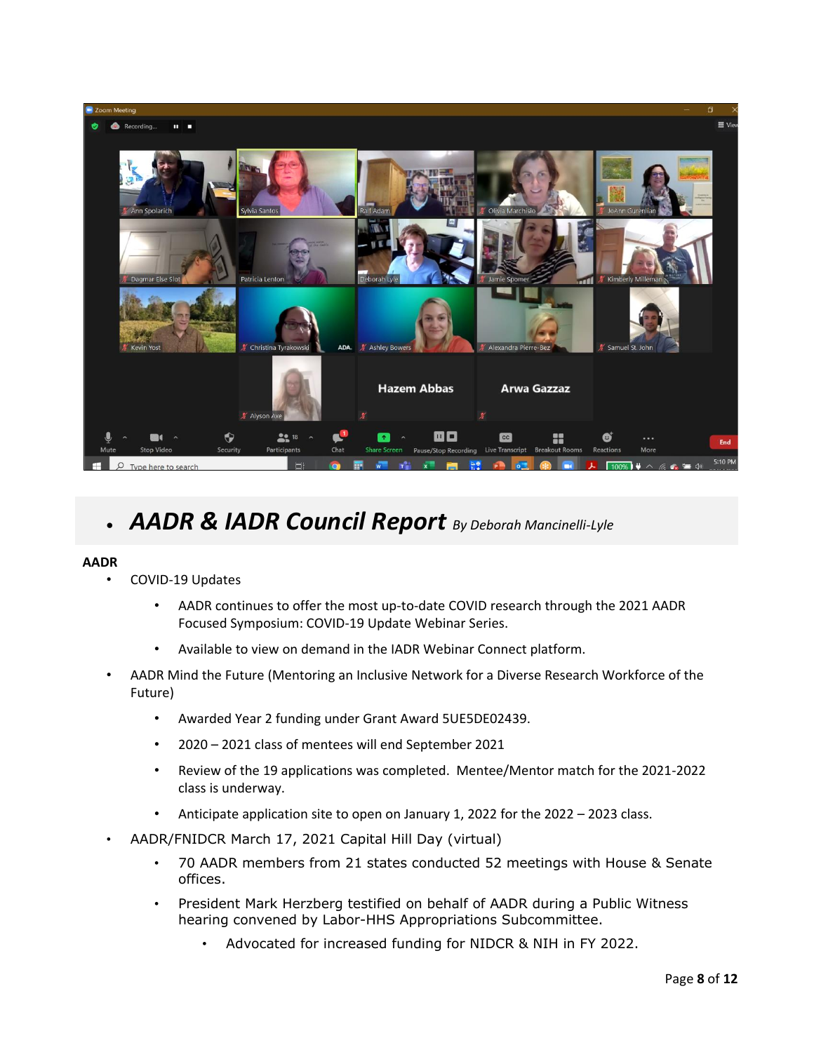

## • *AADR & IADR Council Report By Deborah Mancinelli-Lyle*

#### **AADR**

- COVID-19 Updates
	- AADR continues to offer the most up-to-date COVID research through the 2021 AADR Focused Symposium: COVID-19 Update Webinar Series.
	- Available to view on demand in the IADR Webinar Connect platform.
- AADR Mind the Future (Mentoring an Inclusive Network for a Diverse Research Workforce of the Future)
	- Awarded Year 2 funding under Grant Award 5UE5DE02439.
	- 2020 2021 class of mentees will end September 2021
	- Review of the 19 applications was completed. Mentee/Mentor match for the 2021-2022 class is underway.
	- Anticipate application site to open on January 1, 2022 for the 2022 2023 class.
- AADR/FNIDCR March 17, 2021 Capital Hill Day (virtual)
	- 70 AADR members from 21 states conducted 52 meetings with House & Senate offices.
	- President Mark Herzberg testified on behalf of AADR during a Public Witness hearing convened by Labor-HHS Appropriations Subcommittee.
		- Advocated for increased funding for NIDCR & NIH in FY 2022.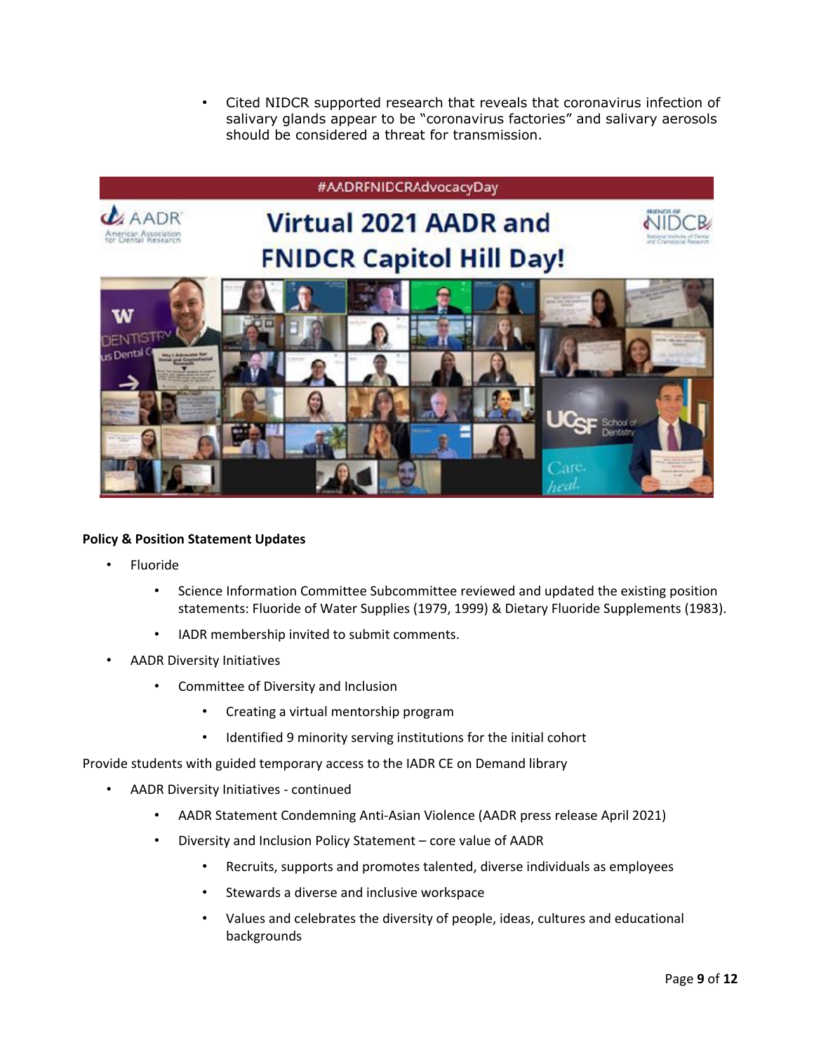• Cited NIDCR supported research that reveals that coronavirus infection of salivary glands appear to be "coronavirus factories" and salivary aerosols should be considered a threat for transmission.



#### **Policy & Position Statement Updates**

- Fluoride
	- Science Information Committee Subcommittee reviewed and updated the existing position statements: Fluoride of Water Supplies (1979, 1999) & Dietary Fluoride Supplements (1983).
	- IADR membership invited to submit comments.
- AADR Diversity Initiatives
	- Committee of Diversity and Inclusion
		- Creating a virtual mentorship program
		- Identified 9 minority serving institutions for the initial cohort

Provide students with guided temporary access to the IADR CE on Demand library

- AADR Diversity Initiatives continued
	- AADR Statement Condemning Anti-Asian Violence (AADR press release April 2021)
	- Diversity and Inclusion Policy Statement core value of AADR
		- Recruits, supports and promotes talented, diverse individuals as employees
		- Stewards a diverse and inclusive workspace
		- Values and celebrates the diversity of people, ideas, cultures and educational backgrounds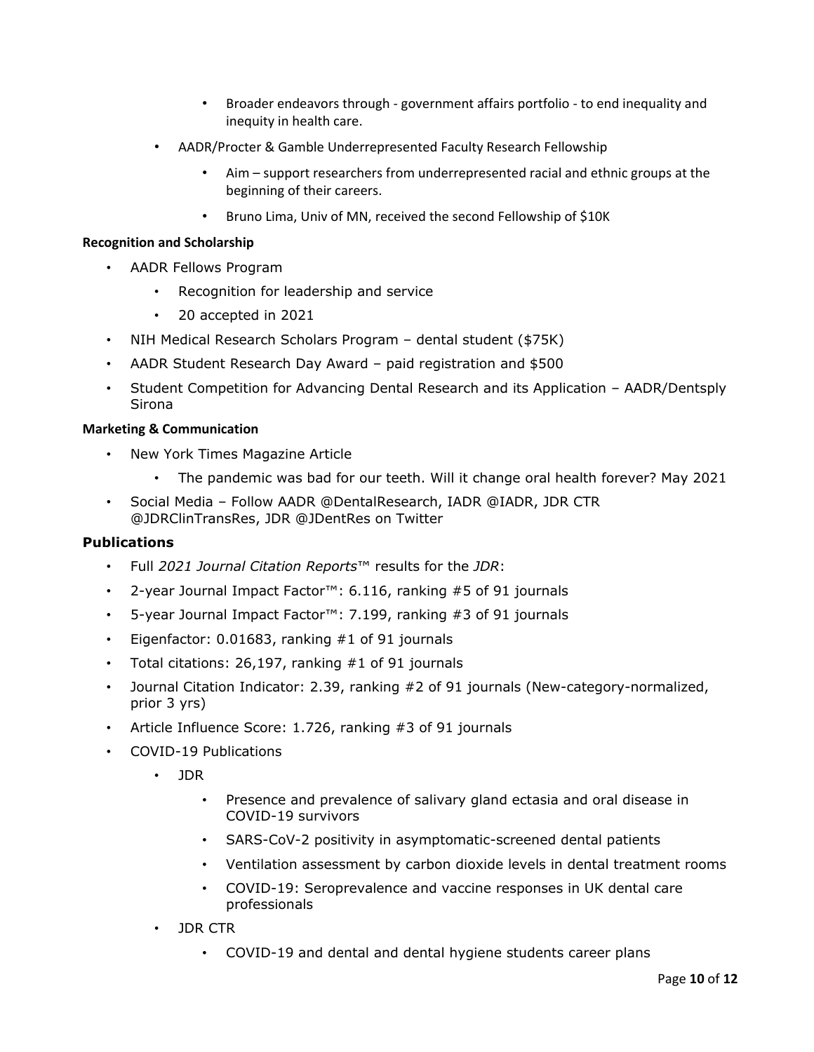- Broader endeavors through government affairs portfolio to end inequality and inequity in health care.
- AADR/Procter & Gamble Underrepresented Faculty Research Fellowship
	- Aim support researchers from underrepresented racial and ethnic groups at the beginning of their careers.
	- Bruno Lima, Univ of MN, received the second Fellowship of \$10K

#### **Recognition and Scholarship**

- AADR Fellows Program
	- Recognition for leadership and service
	- 20 accepted in 2021
- NIH Medical Research Scholars Program dental student (\$75K)
- AADR Student Research Day Award paid registration and \$500
- Student Competition for Advancing Dental Research and its Application AADR/Dentsply Sirona

#### **Marketing & Communication**

- New York Times Magazine Article
	- The pandemic was bad for our teeth. Will it change oral health forever? May 2021
- Social Media Follow AADR @DentalResearch, IADR @IADR, JDR CTR @JDRClinTransRes, JDR @JDentRes on Twitter

#### **Publications**

- Full *2021 Journal Citation Reports*™ results for the *JDR*:
- 2-year Journal Impact Factor™: 6.116, ranking #5 of 91 journals
- 5-year Journal Impact Factor™: 7.199, ranking #3 of 91 journals
- Eigenfactor:  $0.01683$ , ranking  $#1$  of 91 journals
- Total citations: 26,197, ranking #1 of 91 journals
- Journal Citation Indicator: 2.39, ranking #2 of 91 journals (New-category-normalized, prior 3 yrs)
- Article Influence Score: 1.726, ranking #3 of 91 journals
- COVID-19 Publications
	- JDR
		- Presence and prevalence of salivary gland ectasia and oral disease in COVID-19 survivors
		- SARS-CoV-2 positivity in asymptomatic-screened dental patients
		- Ventilation assessment by carbon dioxide levels in dental treatment rooms
		- COVID-19: Seroprevalence and vaccine responses in UK dental care professionals
	- JDR CTR
		- COVID-19 and dental and dental hygiene students career plans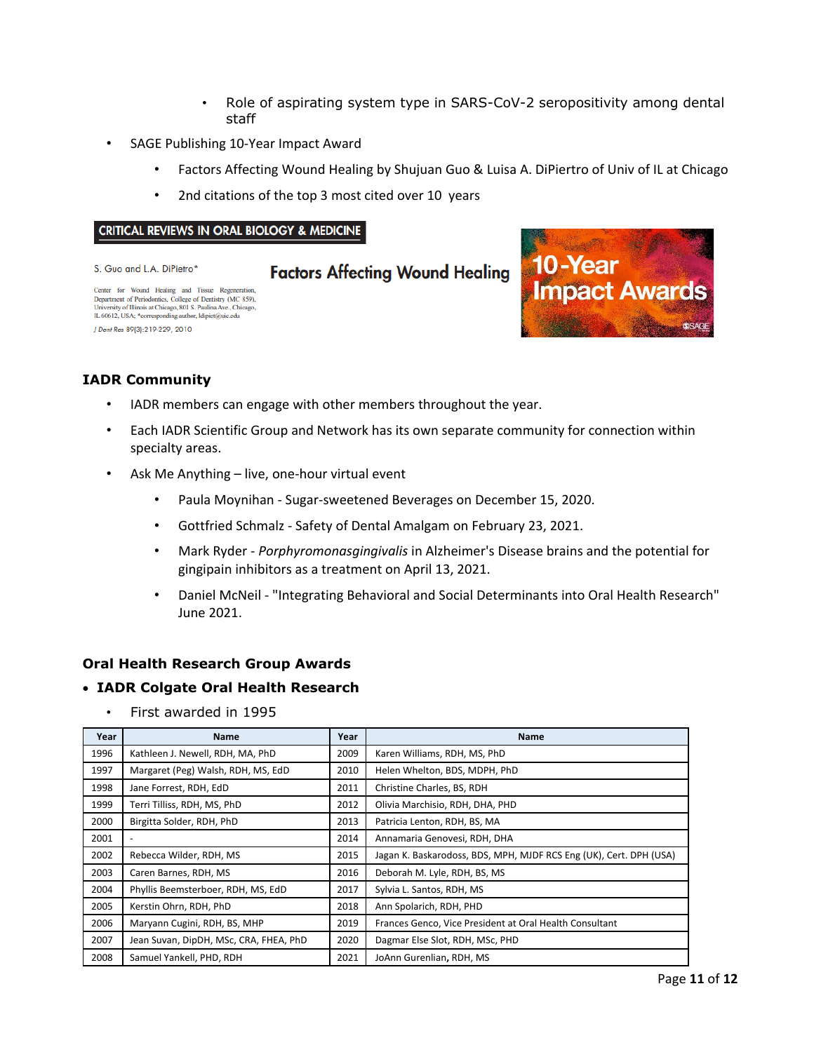- Role of aspirating system type in SARS-CoV-2 seropositivity among dental staff
- SAGE Publishing 10-Year Impact Award
	- Factors Affecting Wound Healing by Shujuan Guo & Luisa A. DiPiertro of Univ of IL at Chicago
	- 2nd citations of the top 3 most cited over 10 years

#### **CRITICAL REVIEWS IN ORAL BIOLOGY & MEDICINE**

S. Guo and L.A. DiPietro\*

### **Factors Affecting Wound Healing**

Center for Wound Healing and Tissue Regeneration Department of Periodontics, College of Dentistry (MC 859), University of Illinois at Chicago, 801 S. Paulina Ave., Chicago<br>IL 60612, USA; \*corresponding author, Idipiet@uic.edu J Dent Res 89(3):219-229, 2010



### **IADR Community**

- IADR members can engage with other members throughout the year.
- Each IADR Scientific Group and Network has its own separate community for connection within specialty areas.
- Ask Me Anything live, one-hour virtual event
	- Paula Moynihan Sugar-sweetened Beverages on December 15, 2020.
	- Gottfried Schmalz Safety of Dental Amalgam on February 23, 2021.
	- Mark Ryder *Porphyromonasgingivalis* in Alzheimer's Disease brains and the potential for gingipain inhibitors as a treatment on April 13, 2021.
	- Daniel McNeil "Integrating Behavioral and Social Determinants into Oral Health Research" June 2021.

#### **Oral Health Research Group Awards**

#### • **IADR Colgate Oral Health Research**

• First awarded in 1995

| Year | <b>Name</b>                            | Year | <b>Name</b>                                                        |  |
|------|----------------------------------------|------|--------------------------------------------------------------------|--|
| 1996 | Kathleen J. Newell, RDH, MA, PhD       | 2009 | Karen Williams, RDH, MS, PhD                                       |  |
| 1997 | Margaret (Peg) Walsh, RDH, MS, EdD     | 2010 | Helen Whelton, BDS, MDPH, PhD                                      |  |
| 1998 | Jane Forrest, RDH, EdD                 | 2011 | Christine Charles, BS, RDH                                         |  |
| 1999 | Terri Tilliss, RDH, MS, PhD            | 2012 | Olivia Marchisio, RDH, DHA, PHD                                    |  |
| 2000 | Birgitta Solder, RDH, PhD              | 2013 | Patricia Lenton, RDH, BS, MA                                       |  |
| 2001 |                                        | 2014 | Annamaria Genovesi, RDH, DHA                                       |  |
| 2002 | Rebecca Wilder, RDH, MS                | 2015 | Jagan K. Baskarodoss, BDS, MPH, MJDF RCS Eng (UK), Cert. DPH (USA) |  |
| 2003 | Caren Barnes, RDH, MS                  | 2016 | Deborah M. Lyle, RDH, BS, MS                                       |  |
| 2004 | Phyllis Beemsterboer, RDH, MS, EdD     | 2017 | Sylvia L. Santos, RDH, MS                                          |  |
| 2005 | Kerstin Ohrn, RDH, PhD                 | 2018 | Ann Spolarich, RDH, PHD                                            |  |
| 2006 | Maryann Cugini, RDH, BS, MHP           | 2019 | Frances Genco, Vice President at Oral Health Consultant            |  |
| 2007 | Jean Suvan, DipDH, MSc, CRA, FHEA, PhD | 2020 | Dagmar Else Slot, RDH, MSc, PHD                                    |  |
| 2008 | Samuel Yankell, PHD, RDH               | 2021 | JoAnn Gurenlian, RDH, MS                                           |  |